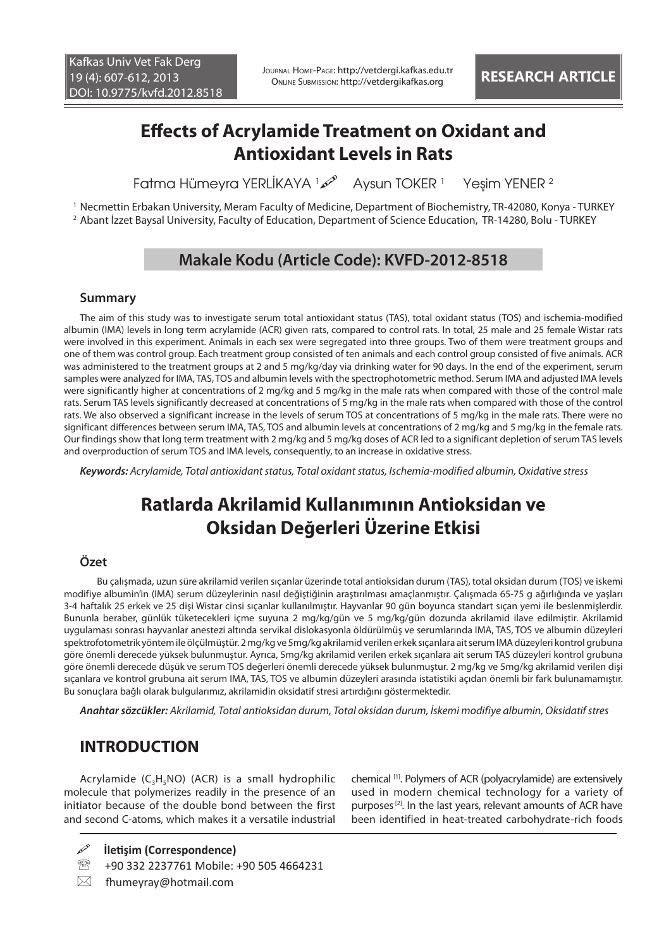# **Effects of Acrylamide Treatment on Oxidant and Antioxidant Levels in Rats**

Fatma Hümeyra YERLİKAYA <sup>1</sup> Aysun TOKER <sup>1</sup> Yeşim YENER <sup>2</sup>

1 Necmettin Erbakan University, Meram Faculty of Medicine, Department of Biochemistry, TR-42080, Konya - TURKEY 2 Abant İzzet Baysal University, Faculty of Education, Department of Science Education, TR-14280, Bolu - TURKEY

### **Makale Kodu (Article Code): KVFD-2012-8518**

#### **Summary**

The aim of this study was to investigate serum total antioxidant status (TAS), total oxidant status (TOS) and ischemia-modified albumin (IMA) levels in long term acrylamide (ACR) given rats, compared to control rats. In total, 25 male and 25 female Wistar rats were involved in this experiment. Animals in each sex were segregated into three groups. Two of them were treatment groups and one of them was control group. Each treatment group consisted of ten animals and each control group consisted of five animals. ACR was administered to the treatment groups at 2 and 5 mg/kg/day via drinking water for 90 days. In the end of the experiment, serum samples were analyzed for IMA, TAS, TOS and albumin levels with the spectrophotometric method. Serum IMA and adjusted IMA levels were significantly higher at concentrations of 2 mg/kg and 5 mg/kg in the male rats when compared with those of the control male rats. Serum TAS levels significantly decreased at concentrations of 5 mg/kg in the male rats when compared with those of the control rats. We also observed a significant increase in the levels of serum TOS at concentrations of 5 mg/kg in the male rats. There were no significant differences between serum IMA, TAS, TOS and albumin levels at concentrations of 2 mg/kg and 5 mg/kg in the female rats. Our findings show that long term treatment with 2 mg/kg and 5 mg/kg doses of ACR led to a significant depletion of serum TAS levels and overproduction of serum TOS and IMA levels, consequently, to an increase in oxidative stress.

*Keywords: Acrylamide, Total antioxidant status, Total oxidant status, Ischemia-modified albumin, Oxidative stress*

# **Ratlarda Akrilamid Kullanımının Antioksidan ve Oksidan Değerleri Üzerine Etkisi**

### **Özet**

 Bu çalışmada, uzun süre akrilamid verilen sıçanlar üzerinde total antioksidan durum (TAS), total oksidan durum (TOS) ve iskemi modifiye albumin'in (IMA) serum düzeylerinin nasıl değiştiğinin araştırılması amaçlanmıştır. Çalışmada 65-75 g ağırlığında ve yaşları 3-4 haftalık 25 erkek ve 25 dişi Wistar cinsi sıçanlar kullanılmıştır. Hayvanlar 90 gün boyunca standart sıçan yemi ile beslenmişlerdir. Bununla beraber, günlük tüketecekleri içme suyuna 2 mg/kg/gün ve 5 mg/kg/gün dozunda akrilamid ilave edilmiştir. Akrilamid uygulaması sonrası hayvanlar anestezi altında servikal dislokasyonla öldürülmüş ve serumlarında IMA, TAS, TOS ve albumin düzeyleri spektrofotometrik yöntem ile ölçülmüştür. 2 mg/kg ve 5mg/kg akrilamid verilen erkek sıçanlara ait serum IMA düzeyleri kontrol grubuna göre önemli derecede yüksek bulunmuştur. Ayrıca, 5mg/kg akrilamid verilen erkek sıçanlara ait serum TAS düzeyleri kontrol grubuna göre önemli derecede düşük ve serum TOS değerleri önemli derecede yüksek bulunmuştur. 2 mg/kg ve 5mg/kg akrilamid verilen dişi sıçanlara ve kontrol grubuna ait serum IMA, TAS, TOS ve albumin düzeyleri arasında istatistiki açıdan önemli bir fark bulunamamıştır. Bu sonuçlara bağlı olarak bulgularımız, akrilamidin oksidatif stresi artırdığını göstermektedir.

*Anahtar sözcükler: Akrilamid, Total antioksidan durum, Total oksidan durum, İskemi modifiye albumin, Oksidatif stres*

## **INTRODUCTION**

Acrylamide  $(C_3H_5NO)$  (ACR) is a small hydrophilic molecule that polymerizes readily in the presence of an initiator because of the double bond between the first and second C-atoms, which makes it a versatile industrial

chemical [1]. Polymers of ACR (polyacrylamide) are extensively used in modern chemical technology for a variety of purposes<sup>[2]</sup>. In the last years, relevant amounts of ACR have been identified in heat-treated carbohydrate-rich foods

**İletişim (Correspondence)**

- +90 332 2237761 Mobile: +90 505 4664231
- $\boxtimes$  fhumeyray@hotmail.com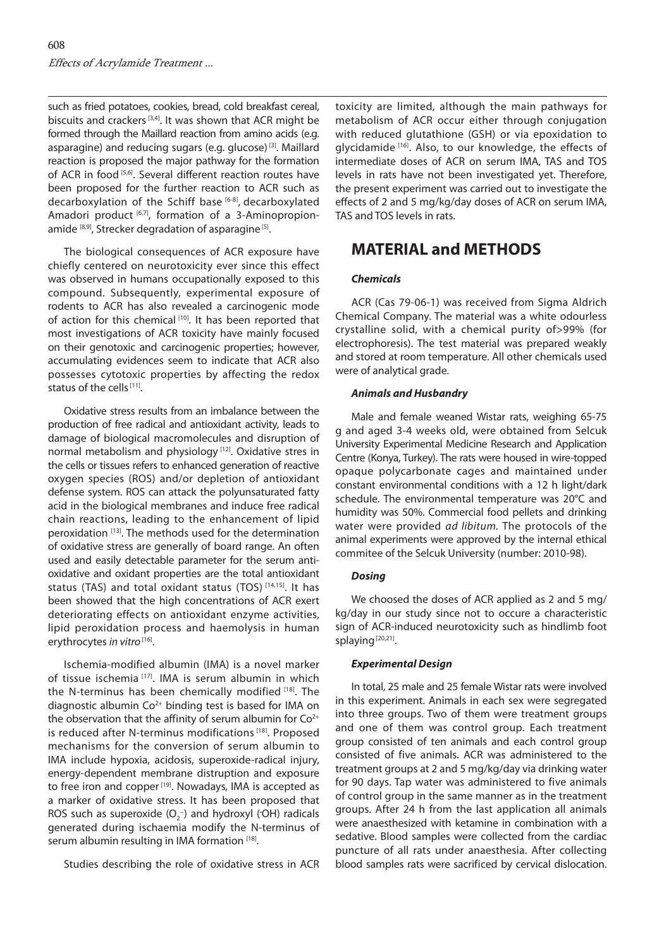such as fried potatoes, cookies, bread, cold breakfast cereal, biscuits and crackers  $[3,4]$ . It was shown that ACR might be formed through the Maillard reaction from amino acids (e.g. asparagine) and reducing sugars (e.g. glucose) [3]. Maillard reaction is proposed the major pathway for the formation of ACR in food [5,6]. Several different reaction routes have been proposed for the further reaction to ACR such as decarboxylation of the Schiff base [6-8], decarboxylated Amadori product [6,7], formation of a 3-Aminopropionamide [8,9], Strecker degradation of asparagine [5].

The biological consequences of ACR exposure have chiefly centered on neurotoxicity ever since this effect was observed in humans occupationally exposed to this compound. Subsequently, experimental exposure of rodents to ACR has also revealed a carcinogenic mode of action for this chemical [10]. It has been reported that most investigations of ACR toxicity have mainly focused on their genotoxic and carcinogenic properties; however, accumulating evidences seem to indicate that ACR also possesses cytotoxic properties by affecting the redox status of the cells<sup>[11]</sup>.

Oxidative stress results from an imbalance between the production of free radical and antioxidant activity, leads to damage of biological macromolecules and disruption of normal metabolism and physiology [12]. Oxidative stres in the cells or tissues refers to enhanced generation of reactive oxygen species (ROS) and/or depletion of antioxidant defense system. ROS can attack the polyunsaturated fatty acid in the biological membranes and induce free radical chain reactions, leading to the enhancement of lipid peroxidation [13]. The methods used for the determination of oxidative stress are generally of board range. An often used and easily detectable parameter for the serum antioxidative and oxidant properties are the total antioxidant status (TAS) and total oxidant status (TOS) [14,15]. It has been showed that the high concentrations of ACR exert deteriorating effects on antioxidant enzyme activities, lipid peroxidation process and haemolysis in human erythrocytes *in vitro*<sup>[16]</sup>.

Ischemia-modified albumin (IMA) is a novel marker of tissue ischemia <a>[17]</a>. IMA is serum albumin in which the N-terminus has been chemically modified [18]. The diagnostic albumin  $Co<sup>2+</sup>$  binding test is based for IMA on the observation that the affinity of serum albumin for  $Co<sup>2+</sup>$ is reduced after N-terminus modifications [18]. Proposed mechanisms for the conversion of serum albumin to IMA include hypoxia, acidosis, superoxide-radical injury, energy-dependent membrane distruption and exposure to free iron and copper<sup>[19]</sup>. Nowadays, IMA is accepted as a marker of oxidative stress. It has been proposed that ROS such as superoxide  $(O_2^-)$  and hydroxyl (OH) radicals generated during ischaemia modify the N‐terminus of serum albumin resulting in IMA formation [18].

Studies describing the role of oxidative stress in ACR

toxicity are limited, although the main pathways for metabolism of ACR occur either through conjugation with reduced glutathione (GSH) or via epoxidation to glycidamide [16]. Also, to our knowledge, the effects of intermediate doses of ACR on serum IMA, TAS and TOS levels in rats have not been investigated yet. Therefore, the present experiment was carried out to investigate the effects of 2 and 5 mg/kg/day doses of ACR on serum IMA, TAS and TOS levels in rats.

### **MATERIAL and METHODS**

#### *Chemicals*

ACR (Cas 79-06-1) was received from Sigma Aldrich Chemical Company. The material was a white odourless crystalline solid, with a chemical purity of>99% (for electrophoresis). The test material was prepared weakly and stored at room temperature. All other chemicals used were of analytical grade.

#### *Animals and Husbandry*

Male and female weaned Wistar rats, weighing 65-75 g and aged 3-4 weeks old, were obtained from Selcuk University Experimental Medicine Research and Application Centre (Konya, Turkey). The rats were housed in wire-topped opaque polycarbonate cages and maintained under constant environmental conditions with a 12 h light/dark schedule. The environmental temperature was 20°C and humidity was 50%. Commercial food pellets and drinking water were provided *ad libitum.* The protocols of the animal experiments were approved by the internal ethical commitee of the Selcuk University (number: 2010-98).

#### *Dosing*

We choosed the doses of ACR applied as 2 and 5 mg/ kg/day in our study since not to occure a characteristic sign of ACR-induced neurotoxicity such as hindlimb foot splaying [20,21].

#### *Experimental Design*

In total, 25 male and 25 female Wistar rats were involved in this experiment. Animals in each sex were segregated into three groups. Two of them were treatment groups and one of them was control group. Each treatment group consisted of ten animals and each control group consisted of five animals. ACR was administered to the treatment groups at 2 and 5 mg/kg/day via drinking water for 90 days. Tap water was administered to five animals of control group in the same manner as in the treatment groups. After 24 h from the last application all animals were anaesthesized with ketamine in combination with a sedative. Blood samples were collected from the cardiac puncture of all rats under anaesthesia. After collecting blood samples rats were sacrificed by cervical dislocation.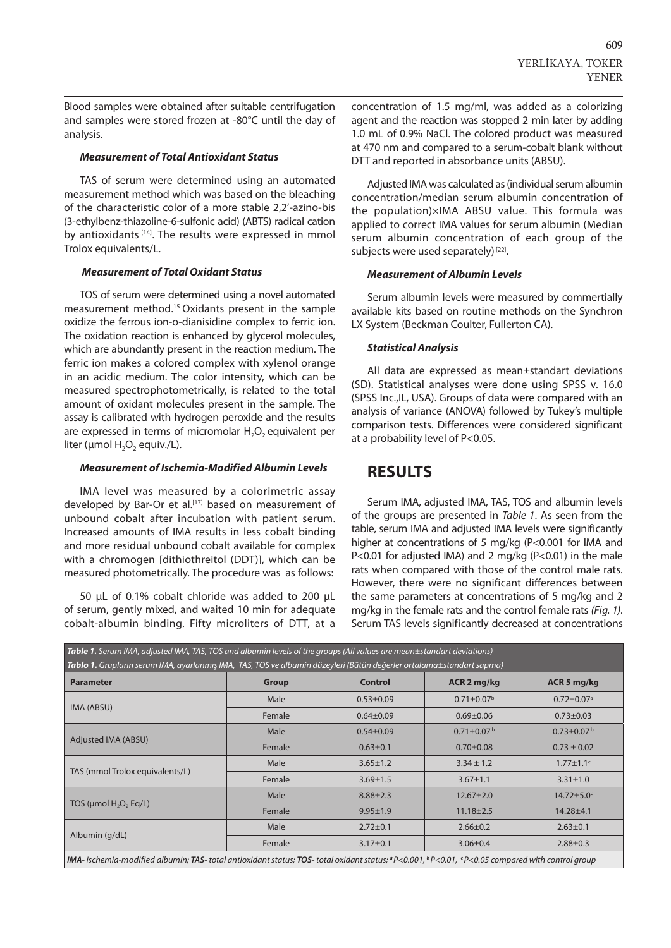Blood samples were obtained after suitable centrifugation and samples were stored frozen at -80°C until the day of analysis.

#### *Measurement of Total Antioxidant Status*

TAS of serum were determined using an automated measurement method which was based on the bleaching of the characteristic color of a more stable 2,2'-azino-bis (3-ethylbenz-thiazoline-6-sulfonic acid) (ABTS) radical cation by antioxidants <a>[14]</a>. The results were expressed in mmol Trolox equivalents/L.

#### *Measurement of Total Oxidant Status*

TOS of serum were determined using a novel automated measurement method.15 Oxidants present in the sample oxidize the ferrous ion-o-dianisidine complex to ferric ion. The oxidation reaction is enhanced by glycerol molecules, which are abundantly present in the reaction medium. The ferric ion makes a colored complex with xylenol orange in an acidic medium. The color intensity, which can be measured spectrophotometrically, is related to the total amount of oxidant molecules present in the sample. The assay is calibrated with hydrogen peroxide and the results are expressed in terms of micromolar  $H_2O_2$  equivalent per liter ( $\mu$ mol H<sub>2</sub>O<sub>2</sub> equiv./L).

#### *Measurement of Ischemia-Modified Albumin Levels*

IMA level was measured by a colorimetric assay developed by Bar-Or et al.<sup>[17]</sup> based on measurement of unbound cobalt after incubation with patient serum. Increased amounts of IMA results in less cobalt binding and more residual unbound cobalt available for complex with a chromogen [dithiothreitol (DDT)], which can be measured photometrically. The procedure was as follows:

50 µL of 0.1% cobalt chloride was added to 200 µL of serum, gently mixed, and waited 10 min for adequate cobalt-albumin binding. Fifty microliters of DTT, at a concentration of 1.5 mg/ml, was added as a colorizing agent and the reaction was stopped 2 min later by adding 1.0 mL of 0.9% NaCl. The colored product was measured at 470 nm and compared to a serum-cobalt blank without DTT and reported in absorbance units (ABSU).

Adjusted IMA was calculated as (individual serum albumin concentration/median serum albumin concentration of the population)×IMA ABSU value. This formula was applied to correct IMA values for serum albumin (Median serum albumin concentration of each group of the subjects were used separately)<sup>[22]</sup>.

#### *Measurement of Albumin Levels*

Serum albumin levels were measured by commertially available kits based on routine methods on the Synchron LX System (Beckman Coulter, Fullerton CA).

#### *Statistical Analysis*

All data are expressed as mean±standart deviations (SD). Statistical analyses were done using SPSS v. 16.0 (SPSS Inc.,IL, USA). Groups of data were compared with an analysis of variance (ANOVA) followed by Tukey's multiple comparison tests. Differences were considered significant at a probability level of P<0.05.

### **RESULTS**

Serum IMA, adjusted IMA, TAS, TOS and albumin levels of the groups are presented in *Table 1*. As seen from the table, serum IMA and adjusted IMA levels were significantly higher at concentrations of 5 mg/kg (P<0.001 for IMA and P<0.01 for adjusted IMA) and 2 mg/kg (P<0.01) in the male rats when compared with those of the control male rats. However, there were no significant differences between the same parameters at concentrations of 5 mg/kg and 2 mg/kg in the female rats and the control female rats *(Fig. 1)*. Serum TAS levels significantly decreased at concentrations

| Table 1. Serum IMA, adjusted IMA, TAS, TOS and albumin levels of the groups (All values are mean±standart deviations)                                                                         |              |                 |                            |                              |
|-----------------------------------------------------------------------------------------------------------------------------------------------------------------------------------------------|--------------|-----------------|----------------------------|------------------------------|
| Tablo 1. Grupların serum IMA, ayarlanmış IMA, TAS, TOS ve albumin düzeyleri (Bütün değerler ortalama±standart sapma)                                                                          |              |                 |                            |                              |
| <b>Parameter</b>                                                                                                                                                                              | <b>Group</b> | <b>Control</b>  | ACR 2 mg/kg                | ACR 5 mg/kg                  |
| IMA (ABSU)                                                                                                                                                                                    | Male         | $0.53 \pm 0.09$ | $0.71 \pm 0.07^{\rm b}$    | $0.72 \pm 0.07$ <sup>a</sup> |
|                                                                                                                                                                                               | Female       | $0.64 \pm 0.09$ | $0.69 \pm 0.06$            | $0.73 \pm 0.03$              |
| Adjusted IMA (ABSU)                                                                                                                                                                           | Male         | $0.54 \pm 0.09$ | $0.71 \pm 0.07^{\text{b}}$ | $0.73 \pm 0.07^{\text{b}}$   |
|                                                                                                                                                                                               | Female       | $0.63 \pm 0.1$  | $0.70 \pm 0.08$            | $0.73 \pm 0.02$              |
| TAS (mmol Trolox equivalents/L)                                                                                                                                                               | Male         | $3.65 \pm 1.2$  | $3.34 \pm 1.2$             | $1.77 \pm 1.1$ <sup>c</sup>  |
|                                                                                                                                                                                               | Female       | $3.69 \pm 1.5$  | $3.67 \pm 1.1$             | $3.31 \pm 1.0$               |
| TOS ( $\mu$ mol H <sub>2</sub> O <sub>2</sub> Eq/L)                                                                                                                                           | Male         | $8.88 \pm 2.3$  | $12.67 \pm 2.0$            | $14.72 \pm 5.0$ <sup>c</sup> |
|                                                                                                                                                                                               | Female       | $9.95 \pm 1.9$  | $11.18 \pm 2.5$            | $14.28 + 4.1$                |
| Albumin (g/dL)                                                                                                                                                                                | Male         | $2.72 \pm 0.1$  | $2.66 \pm 0.2$             | $2.63 \pm 0.1$               |
|                                                                                                                                                                                               | Female       | $3.17 \pm 0.1$  | $3.06 \pm 0.4$             | $2.88 \pm 0.3$               |
| <b>IMA</b> -ischemia-modified albumin; TAS-total antioxidant status; TOS-total oxidant status; ${}^{\alpha}P<0.001$ , ${}^{\beta}P<0.01$ , ${}^{\varsigma}P<0.05$ compared with control group |              |                 |                            |                              |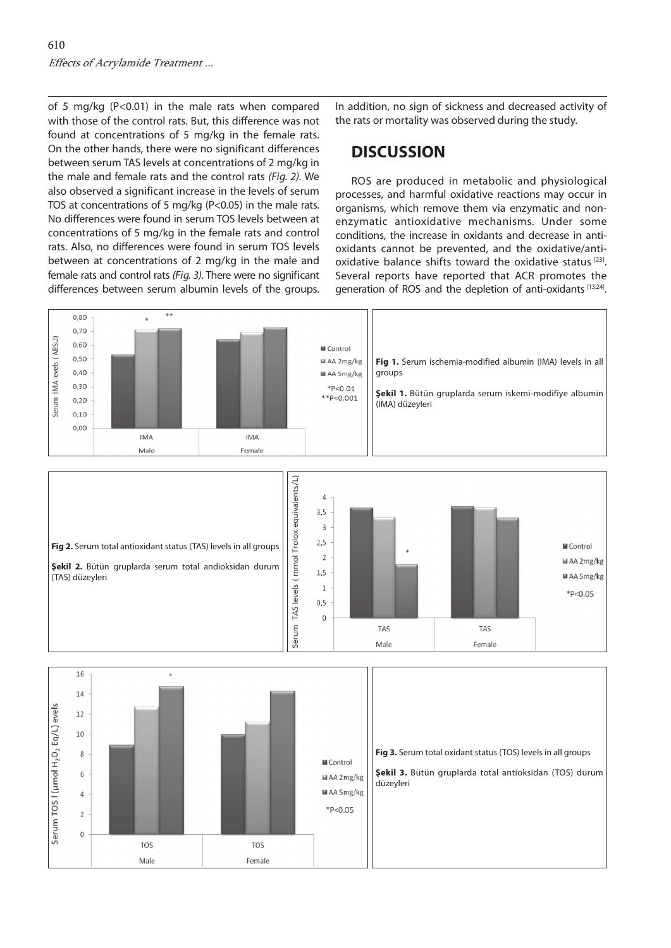of 5 mg/kg (P<0.01) in the male rats when compared with those of the control rats. But, this difference was not found at concentrations of 5 mg/kg in the female rats. On the other hands, there were no significant differences between serum TAS levels at concentrations of 2 mg/kg in the male and female rats and the control rats *(Fig. 2).* We also observed a significant increase in the levels of serum TOS at concentrations of 5 mg/kg (P<0.05) in the male rats. No differences were found in serum TOS levels between at concentrations of 5 mg/kg in the female rats and control rats. Also, no differences were found in serum TOS levels between at concentrations of 2 mg/kg in the male and female rats and control rats *(Fig. 3)*. There were no significant differences between serum albumin levels of the groups.

In addition, no sign of sickness and decreased activity of the rats or mortality was observed during the study.

## **DISCUSSION**

ROS are produced in metabolic and physiological processes, and harmful oxidative reactions may occur in organisms, which remove them via enzymatic and nonenzymatic antioxidative mechanisms. Under some conditions, the increase in oxidants and decrease in antioxidants cannot be prevented, and the oxidative/antioxidative balance shifts toward the oxidative status [23]. Several reports have reported that ACR promotes the generation of ROS and the depletion of anti-oxidants [13,24].

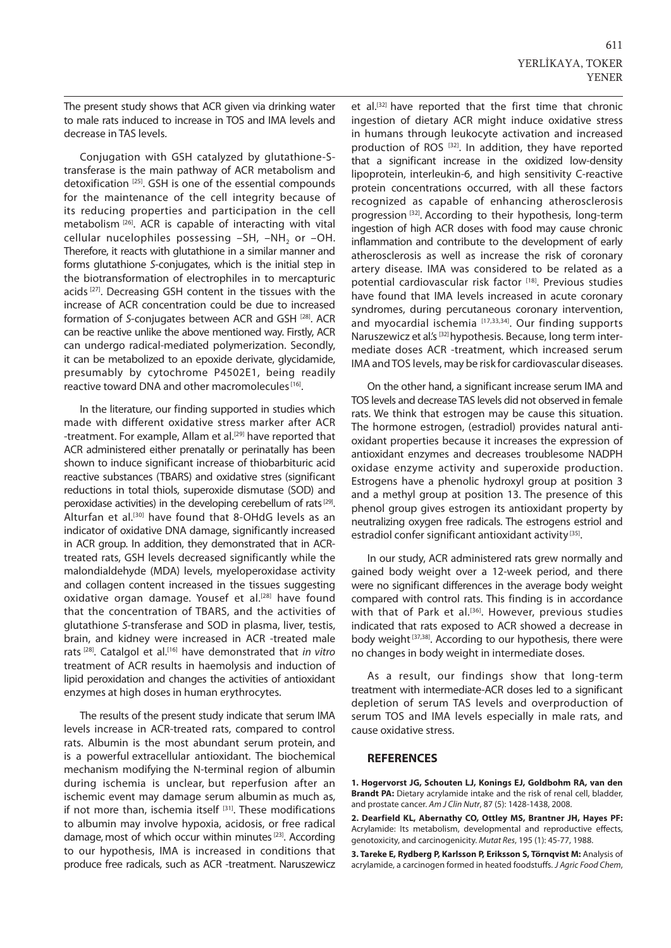The present study shows that ACR given via drinking water to male rats induced to increase in TOS and IMA levels and decrease in TAS levels.

Conjugation with GSH catalyzed by glutathione-Stransferase is the main pathway of ACR metabolism and detoxification [25]. GSH is one of the essential compounds for the maintenance of the cell integrity because of its reducing properties and participation in the cell metabolism [26]. ACR is capable of interacting with vital cellular nucelophiles possessing  $-SH$ ,  $-NH$ <sub>2</sub> or  $-OH$ . Therefore, it reacts with glutathione in a similar manner and forms glutathione *S*-conjugates, which is the initial step in the biotransformation of electrophiles in to mercapturic acids<sup>[27]</sup>. Decreasing GSH content in the tissues with the increase of ACR concentration could be due to increased formation of *S*-conjugates between ACR and GSH <sup>[28]</sup>. ACR can be reactive unlike the above mentioned way. Firstly, ACR can undergo radical-mediated polymerization. Secondly, it can be metabolized to an epoxide derivate, glycidamide, presumably by cytochrome P4502E1, being readily reactive toward DNA and other macromolecules<sup>[16]</sup>.

In the literature, our finding supported in studies which made with different oxidative stress marker after ACR -treatment. For example, Allam et al.<sup>[29]</sup> have reported that ACR administered either prenatally or perinatally has been shown to induce significant increase of thiobarbituric acid reactive substances (TBARS) and oxidative stres (significant reductions in total thiols, superoxide dismutase (SOD) and peroxidase activities) in the developing cerebellum of rats [29]. Alturfan et al.<sup>[30]</sup> have found that 8-OHdG levels as an indicator of oxidative DNA damage, significantly increased in ACR group. In addition, they demonstrated that in ACRtreated rats, GSH levels decreased significantly while the malondialdehyde (MDA) levels, myeloperoxidase activity and collagen content increased in the tissues suggesting oxidative organ damage. Yousef et al.<sup>[28]</sup> have found that the concentration of TBARS, and the activities of glutathione *S*-transferase and SOD in plasma, liver, testis, brain, and kidney were increased in ACR -treated male rats [28]. Catalgol et al.[16] have demonstrated that *in vitro* treatment of ACR results in haemolysis and induction of lipid peroxidation and changes the activities of antioxidant enzymes at high doses in human erythrocytes.

The results of the present study indicate that serum IMA levels increase in ACR-treated rats, compared to control rats. Albumin is the most abundant serum protein, and is a powerful extracellular antioxidant. The biochemical mechanism modifying the N-terminal region of albumin during ischemia is unclear, but reperfusion after an ischemic event may damage serum albumin as much as, if not more than, ischemia itself  $[31]$ . These modifications to albumin may involve hypoxia, acidosis, or free radical damage, most of which occur within minutes [23]. According to our hypothesis, IMA is increased in conditions that produce free radicals, such as ACR -treatment. Naruszewicz et al.[32] have reported that the first time that chronic ingestion of dietary ACR might induce oxidative stress in humans through leukocyte activation and increased production of ROS [32]. In addition, they have reported that a significant increase in the oxidized low-density lipoprotein, interleukin-6, and high sensitivity C-reactive protein concentrations occurred, with all these factors recognized as capable of enhancing atherosclerosis progression [32]. According to their hypothesis, long-term ingestion of high ACR doses with food may cause chronic inflammation and contribute to the development of early atherosclerosis as well as increase the risk of coronary artery disease. IMA was considered to be related as a potential cardiovascular risk factor [18]. Previous studies have found that IMA levels increased in acute coronary syndromes, during percutaneous coronary intervention, and myocardial ischemia [17,33,34]. Our finding supports Naruszewicz et al.'s [32] hypothesis. Because, long term intermediate doses ACR -treatment, which increased serum IMA and TOS levels, may be risk for cardiovascular diseases.

On the other hand, a significant increase serum IMA and TOS levels and decrease TAS levels did not observed in female rats. We think that estrogen may be cause this situation. The hormone estrogen, (estradiol) provides natural antioxidant properties because it increases the expression of antioxidant enzymes and decreases troublesome NADPH oxidase enzyme activity and superoxide production. Estrogens have a phenolic hydroxyl group at position 3 and a methyl group at position 13. The presence of this phenol group gives estrogen its antioxidant property by neutralizing oxygen free radicals. The estrogens estriol and estradiol confer significant antioxidant activity<sup>[35]</sup>.

In our study, ACR administered rats grew normally and gained body weight over a 12-week period, and there were no significant differences in the average body weight compared with control rats. This finding is in accordance with that of Park et al.<sup>[36]</sup>. However, previous studies indicated that rats exposed to ACR showed a decrease in body weight [37,38]. According to our hypothesis, there were no changes in body weight in intermediate doses.

As a result, our findings show that long-term treatment with intermediate-ACR doses led to a significant depletion of serum TAS levels and overproduction of serum TOS and IMA levels especially in male rats, and cause oxidative stress.

#### **REFERENCES**

**1. Hogervorst JG, Schouten LJ, Konings EJ, Goldbohm RA, van den Brandt PA:** Dietary acrylamide intake and the risk of renal cell, bladder, and prostate cancer. *Am J Clin Nutr*, 87 (5): 1428-1438, 2008.

**2. Dearfield KL, Abernathy CO, Ottley MS, Brantner JH, Hayes PF:** Acrylamide: Its metabolism, developmental and reproductive effects, genotoxicity, and carcinogenicity. *Mutat Res*, 195 (1): 45-77, 1988.

**3. Tareke E, Rydberg P, Karlsson P, Eriksson S, Törnqvist M:** Analysis of acrylamide, a carcinogen formed in heated foodstuffs. *J Agric Food Chem*,